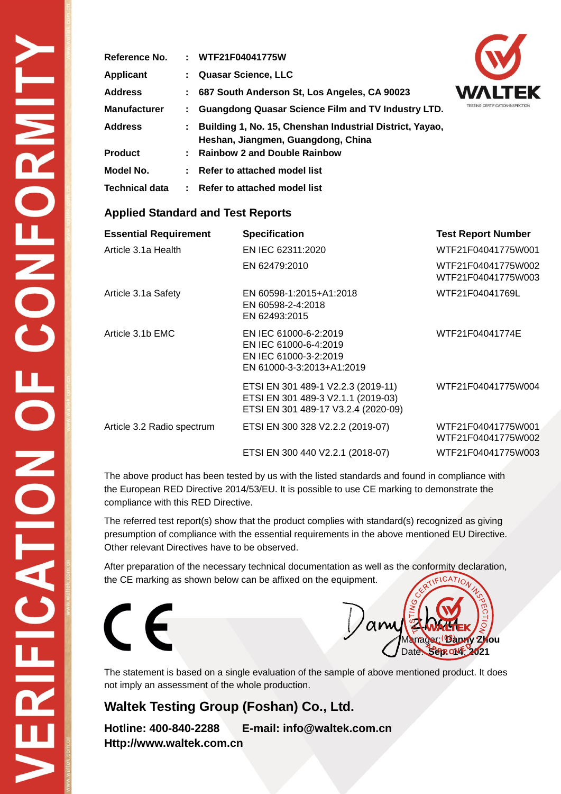| Reference No.         | : WTF21F04041775W                                                                                |   |
|-----------------------|--------------------------------------------------------------------------------------------------|---|
| <b>Applicant</b>      | Quasar Science, LLC                                                                              |   |
| <b>Address</b>        | : 687 South Anderson St, Los Angeles, CA 90023                                                   | V |
| <b>Manufacturer</b>   | : Guangdong Quasar Science Film and TV Industry LTD.                                             | ŋ |
| <b>Address</b>        | : Building 1, No. 15, Chenshan Industrial District, Yayao,<br>Heshan, Jiangmen, Guangdong, China |   |
| <b>Product</b>        | : Rainbow 2 and Double Rainbow                                                                   |   |
| Model No.             | : Refer to attached model list                                                                   |   |
| <b>Technical data</b> | : Refer to attached model list                                                                   |   |



#### **Applied Standard and Test Reports**

| <b>Essential Requirement</b> | <b>Specification</b>                                                                                            | <b>Test Report Number</b>                |
|------------------------------|-----------------------------------------------------------------------------------------------------------------|------------------------------------------|
| Article 3.1a Health          | EN IEC 62311:2020                                                                                               | WTF21F04041775W001                       |
|                              | EN 62479:2010                                                                                                   | WTF21F04041775W002<br>WTF21F04041775W003 |
| Article 3.1a Safety          | EN 60598-1:2015+A1:2018<br>EN 60598-2-4:2018<br>EN 62493:2015                                                   | WTF21F04041769L                          |
| Article 3.1b EMC             | EN IEC 61000-6-2:2019<br>EN IEC 61000-6-4:2019<br>EN IEC 61000-3-2:2019<br>EN 61000-3-3:2013+A1:2019            | WTF21F04041774E                          |
|                              | ETSI EN 301 489-1 V2.2.3 (2019-11)<br>ETSI EN 301 489-3 V2.1.1 (2019-03)<br>ETSI EN 301 489-17 V3.2.4 (2020-09) | WTF21F04041775W004                       |
| Article 3.2 Radio spectrum   | ETSI EN 300 328 V2.2.2 (2019-07)                                                                                | WTF21F04041775W001<br>WTF21F04041775W002 |
|                              | ETSI EN 300 440 V2.2.1 (2018-07)                                                                                | WTF21F04041775W003                       |

The above product has been tested by us with the listed standards and found in compliance with the European RED Directive 2014/53/EU. It is possible to use CE marking to demonstrate the compliance with this RED Directive.

The referred test report(s) show that the product complies with standard(s) recognized as giving presumption of compliance with the essential requirements in the above mentioned EU Directive. Other relevant Directives have to be observed.

After preparation of the necessary technical documentation as well as the conformity declaration, the CE marking as shown below can be affixed on the equipment.





The statement is based on a single evaluation of the sample of above mentioned product. It does not imply an assessment of the whole production.

## **Waltek Testing Group (Foshan) Co., Ltd.**

**Hotline: 400-840-2288 E-mail: info@waltek.com.cn Http://www.waltek.com.cn**